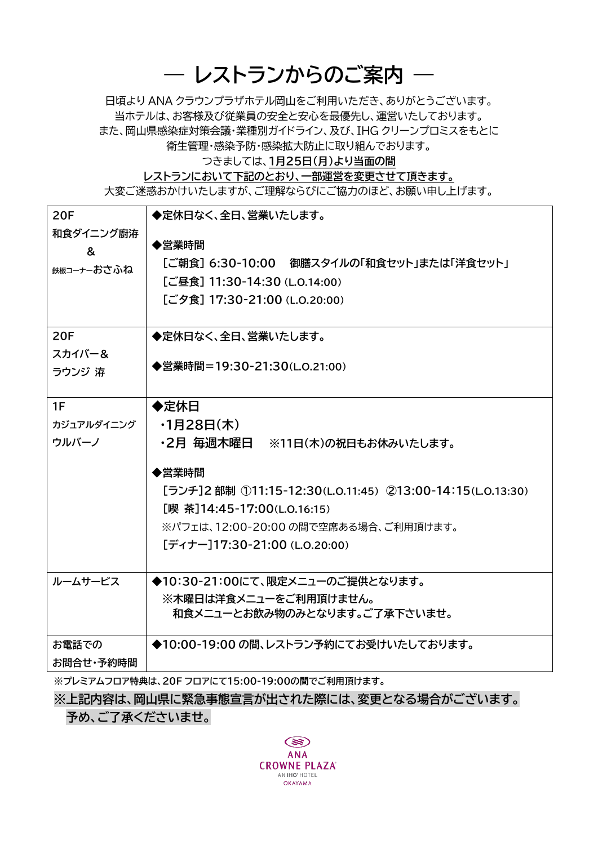## **― レストランからのご案内 ―**

日頃より ANA クラウンプラザホテル岡山をご利用いただき、ありがとうございます。 当ホテルは、お客様及び従業員の安全と安心を最優先し、運営いたしております。 また、岡山県感染症対策会議・業種別ガイドライン、及び、IHG クリーンプロミスをもとに 衛生管理・感染予防・感染拡大防止に取り組んでおります。

つきましては、**1月25日(月)より当面の間**

**レストランにおいて下記のとおり、一部運営を変更させて頂きます。**

大変ご迷惑おかけいたしますが、ご理解ならびにご協力のほど、お願い申し上げます。

| <b>20F</b> | ◆定休日なく、全日、営業いたします。                                        |
|------------|-----------------------------------------------------------|
| 和食ダイニング廚洊  | ◆営業時間                                                     |
| &          | [ご朝食] 6:30-10:00 御膳スタイルの「和食セット」または「洋食セット」                 |
| 鉄板コーナーおさふね | [ご昼食] 11:30-14:30 (L.O.14:00)                             |
|            | [ご夕食] 17:30-21:00 (L.O.20:00)                             |
|            |                                                           |
| <b>20F</b> | ◆定休日なく、全日、営業いたします。                                        |
| スカイバー&     |                                                           |
| ラウンジ 洊     | ◆営業時間=19:30-21:30(L.O.21:00)                              |
|            |                                                           |
| 1F         | ◆定休日                                                      |
| カジュアルダイニング | ・1月28日(木)                                                 |
| ウルバーノ      | ・2月 毎週木曜日 ※11日(木)の祝日もお休みいたします。                            |
|            | ◆営業時間                                                     |
|            | [ランチ]2 部制 ①11:15-12:30(L.O.11:45) ②13:00-14:15(L.O.13:30) |
|            | [喫 茶]14:45-17:00(L.O.16:15)                               |
|            | ※パフェは、12:00-20:00 の間で空席ある場合、ご利用頂けます。                      |
|            | [ディナー]17:30-21:00 (L.O.20:00)                             |
|            |                                                           |
| ルームサービス    | ◆10:30-21:00にて、限定メニューのご提供となります。                           |
|            | ※木曜日は洋食メニューをご利用頂けません。                                     |
|            | 和食メニューとお飲み物のみとなります。ご了承下さいませ。                              |
| お電話での      | ◆10:00-19:00 の間、レストラン予約にてお受けいたしております。                     |
| お問合せ・予約時間  |                                                           |
|            |                                                           |

**※プレミアムフロア特典は、20F フロアにて15:00-19:00の間でご利用頂けます。**

**※上記内容は、岡山県に緊急事態宣言が出された際には、変更となる場合がございます。**

**予め、ご了承くださいませ。**